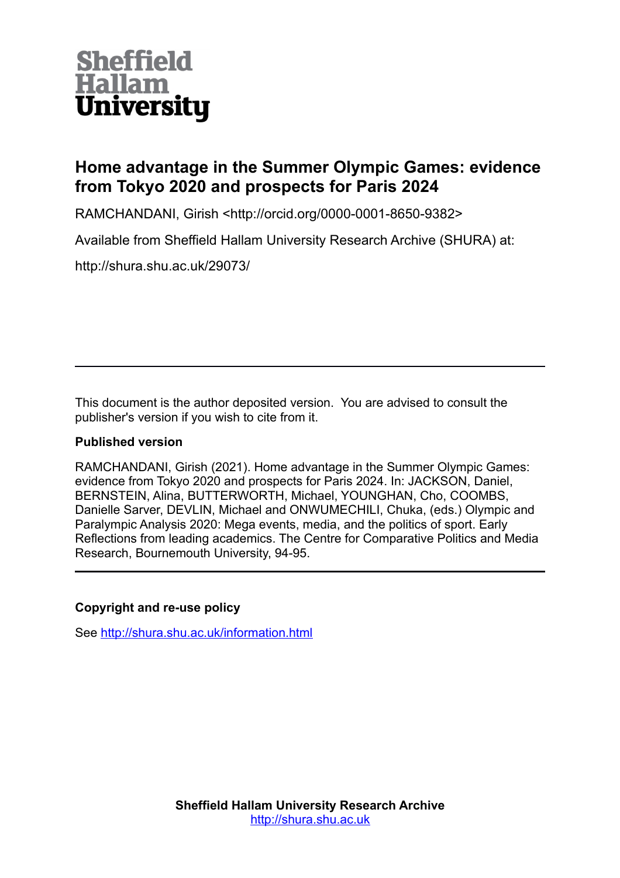# **Sheffield** Hallam **University**

# **Home advantage in the Summer Olympic Games: evidence from Tokyo 2020 and prospects for Paris 2024**

RAMCHANDANI, Girish <http://orcid.org/0000-0001-8650-9382>

Available from Sheffield Hallam University Research Archive (SHURA) at:

http://shura.shu.ac.uk/29073/

This document is the author deposited version. You are advised to consult the publisher's version if you wish to cite from it.

# **Published version**

RAMCHANDANI, Girish (2021). Home advantage in the Summer Olympic Games: evidence from Tokyo 2020 and prospects for Paris 2024. In: JACKSON, Daniel, BERNSTEIN, Alina, BUTTERWORTH, Michael, YOUNGHAN, Cho, COOMBS, Danielle Sarver, DEVLIN, Michael and ONWUMECHILI, Chuka, (eds.) Olympic and Paralympic Analysis 2020: Mega events, media, and the politics of sport. Early Reflections from leading academics. The Centre for Comparative Politics and Media Research, Bournemouth University, 94-95.

# **Copyright and re-use policy**

See<http://shura.shu.ac.uk/information.html>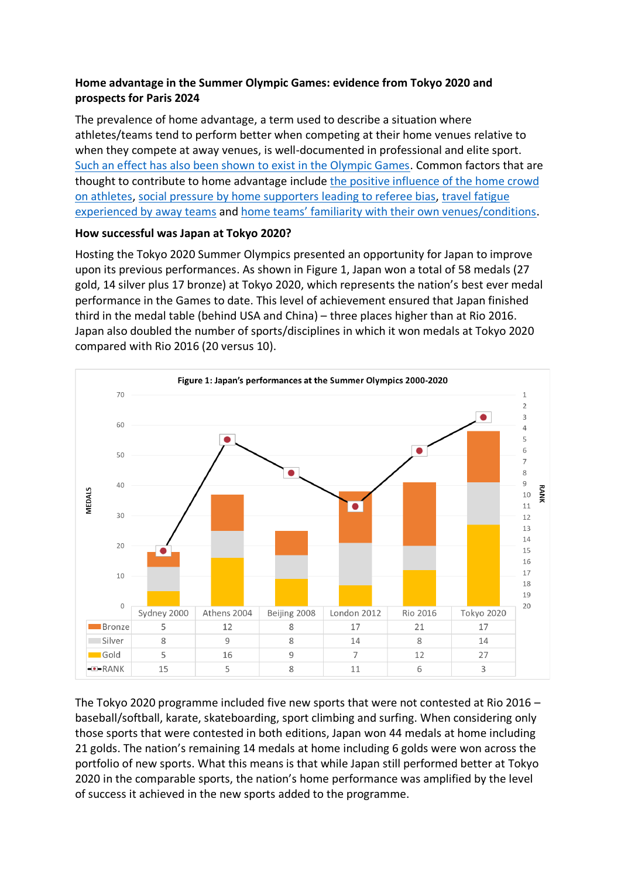## **Home advantage in the Summer Olympic Games: evidence from Tokyo 2020 and prospects for Paris 2024**

The prevalence of home advantage, a term used to describe a situation where athletes/teams tend to perform better when competing at their home venues relative to when they compete at away venues, is well-documented in professional and elite sport. Such an effect has also been shown to exist in the Olympic Games. Common factors that are thought to contribute to home advantage include the positive influence of the home crowd on athletes, social pressure by home supporters leading to referee bias, travel fatigue experienced by away teams and home teams' familiarity with their own venues/conditions.

### **How successful was Japan at Tokyo 2020?**

Hosting the Tokyo 2020 Summer Olympics presented an opportunity for Japan to improve upon its previous performances. As shown in Figure 1, Japan won a total of 58 medals (27 gold, 14 silver plus 17 bronze) at Tokyo 2020, which represents the nation's best ever medal performance in the Games to date. This level of achievement ensured that Japan finished third in the medal table (behind USA and China) – three places higher than at Rio 2016. Japan also doubled the number of sports/disciplines in which it won medals at Tokyo 2020 compared with Rio 2016 (20 versus 10).



The Tokyo 2020 programme included five new sports that were not contested at Rio 2016 – baseball/softball, karate, skateboarding, sport climbing and surfing. When considering only those sports that were contested in both editions, Japan won 44 medals at home including 21 golds. The nation's remaining 14 medals at home including 6 golds were won across the portfolio of new sports. What this means is that while Japan still performed better at Tokyo 2020 in the comparable sports, the nation's home performance was amplified by the level of success it achieved in the new sports added to the programme.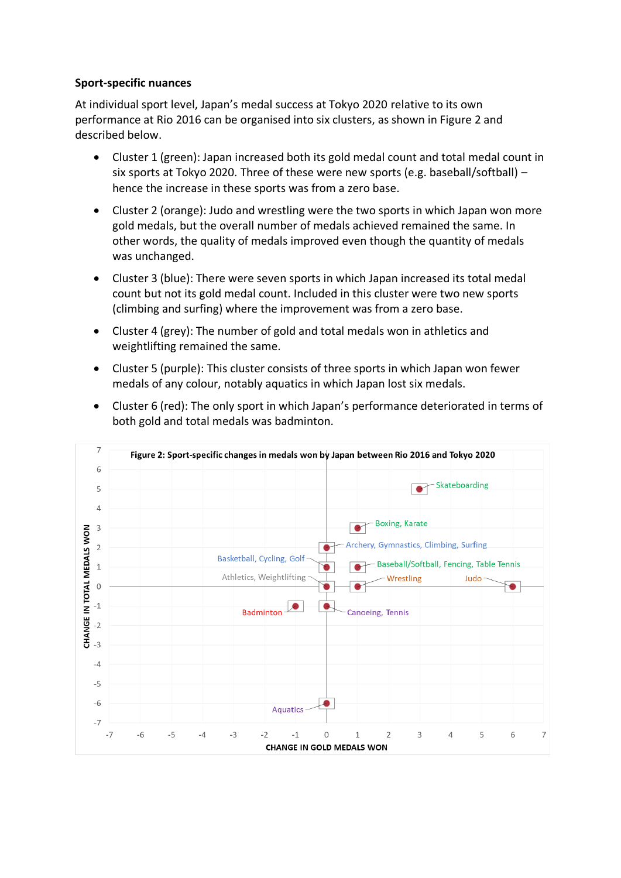#### **Sport-specific nuances**

At individual sport level, Japan's medal success at Tokyo 2020 relative to its own performance at Rio 2016 can be organised into six clusters, as shown in Figure 2 and described below.

- Cluster 1 (green): Japan increased both its gold medal count and total medal count in six sports at Tokyo 2020. Three of these were new sports (e.g. baseball/softball) – hence the increase in these sports was from a zero base.
- Cluster 2 (orange): Judo and wrestling were the two sports in which Japan won more gold medals, but the overall number of medals achieved remained the same. In other words, the quality of medals improved even though the quantity of medals was unchanged.
- Cluster 3 (blue): There were seven sports in which Japan increased its total medal count but not its gold medal count. Included in this cluster were two new sports (climbing and surfing) where the improvement was from a zero base.
- Cluster 4 (grey): The number of gold and total medals won in athletics and weightlifting remained the same.
- Cluster 5 (purple): This cluster consists of three sports in which Japan won fewer medals of any colour, notably aquatics in which Japan lost six medals.



• Cluster 6 (red): The only sport in which Japan's performance deteriorated in terms of both gold and total medals was badminton.